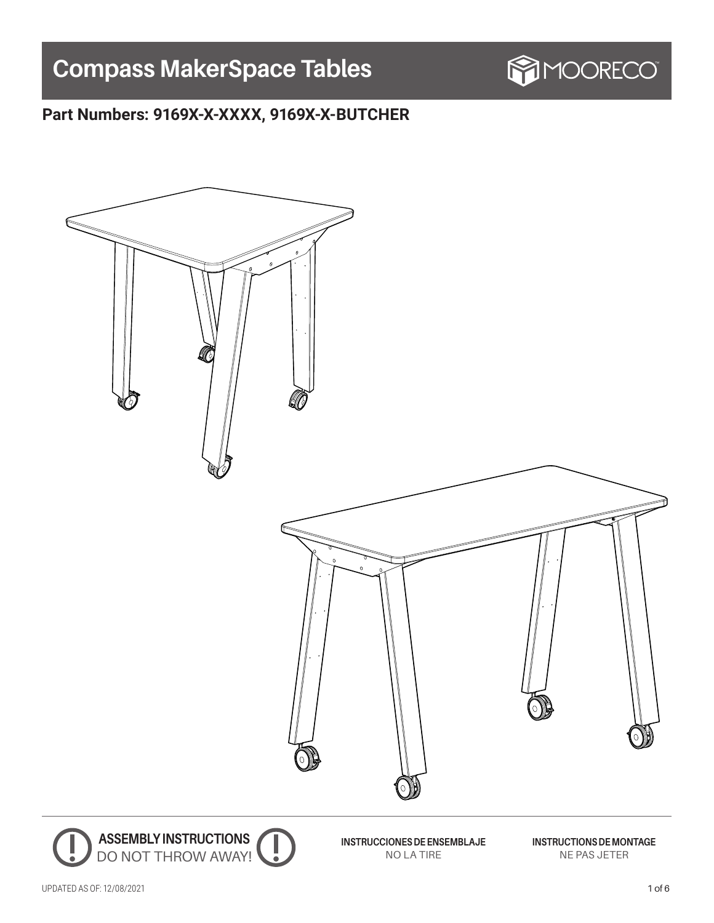# **Compass MakerSpace Tables**



# **Part Numbers: 9169X-X-XXXX, 9169X-X-BUTCHER**

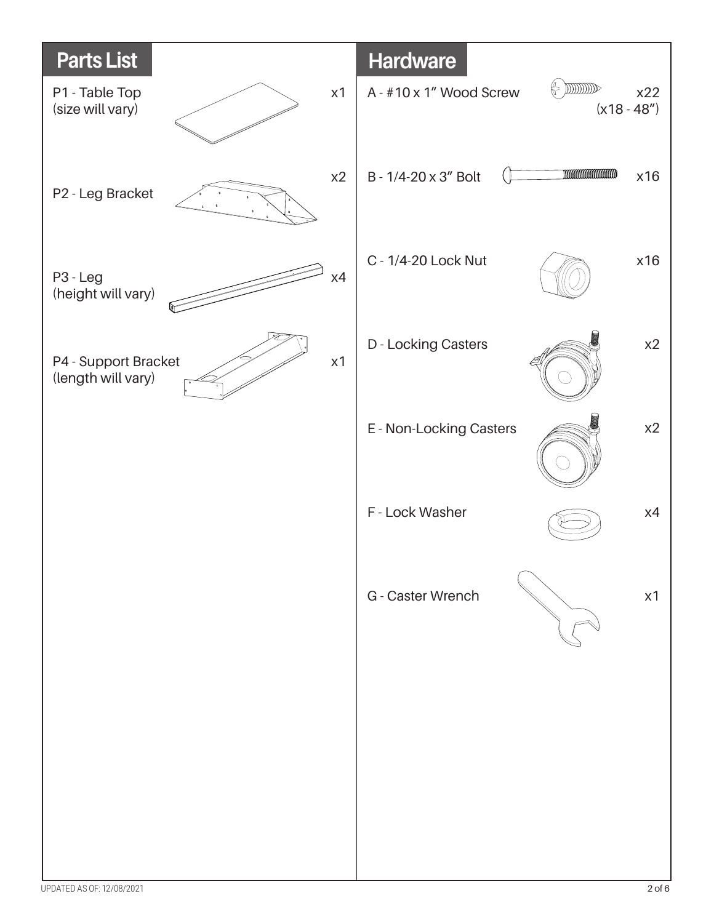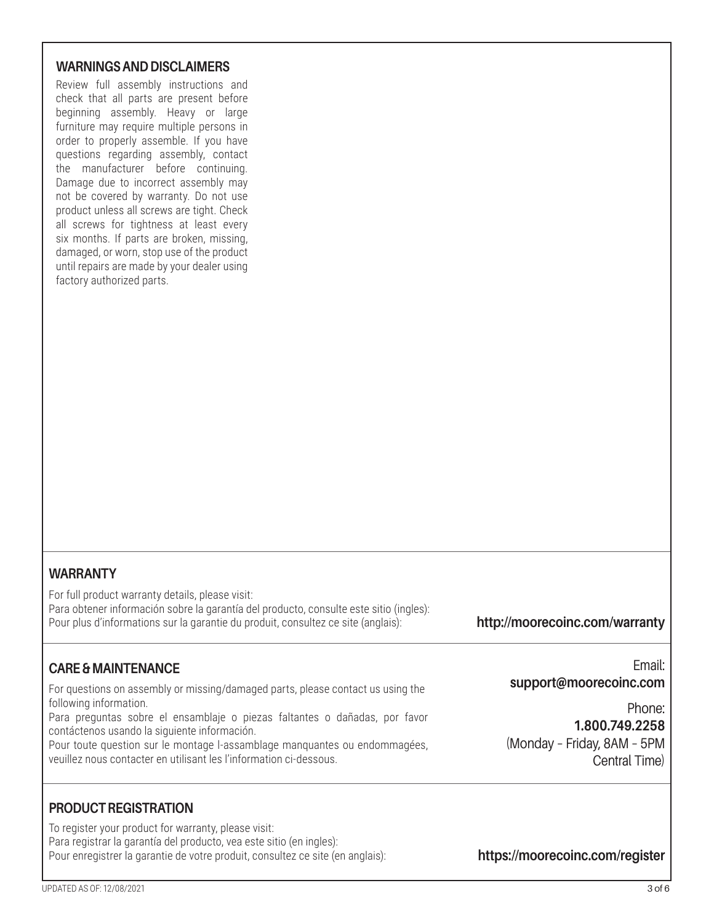#### **WARNINGS AND DISCLAIMERS**

Review full assembly instructions and check that all parts are present before beginning assembly. Heavy or large furniture may require multiple persons in order to properly assemble. If you have questions regarding assembly, contact the manufacturer before continuing. Damage due to incorrect assembly may not be covered by warranty. Do not use product unless all screws are tight. Check all screws for tightness at least every six months. If parts are broken, missing, damaged, or worn, stop use of the product until repairs are made by your dealer using factory authorized parts.

## **WARRANTY**

For full product warranty details, please visit: Para obtener información sobre la garantía del producto, consulte este sitio (ingles): Pour plus d'informations sur la garantie du produit, consultez ce site (anglais):

## **http://moorecoinc.com/warranty**

## **CARE & MAINTENANCE**

For questions on assembly or missing/damaged parts, please contact us using the following information.

Para preguntas sobre el ensamblaje o piezas faltantes o dañadas, por favor contáctenos usando la siguiente información.

Pour toute question sur le montage l-assamblage manquantes ou endommagées, veuillez nous contacter en utilisant les l'information ci-dessous.

Email: **support@moorecoinc.com**

Phone: **1.800.749.2258** (Monday – Friday, 8AM – 5PM Central Time)

#### **PRODUCT REGISTRATION**

To register your product for warranty, please visit: Para registrar la garantía del producto, vea este sitio (en ingles): Pour enregistrer la garantie de votre produit, consultez ce site (en anglais):

**https://moorecoinc.com/register**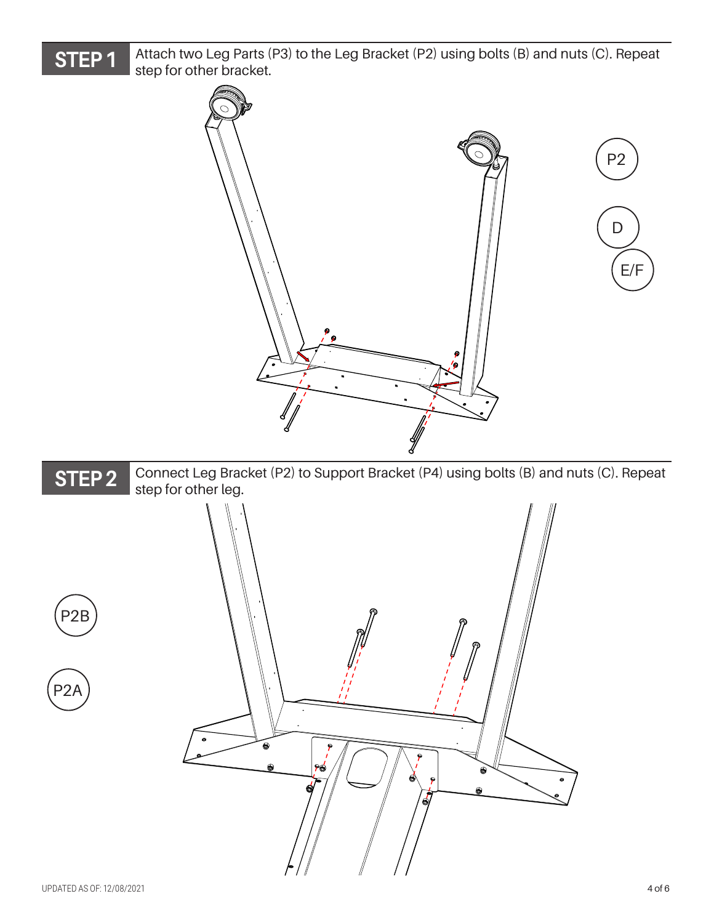

Attach two Leg Parts (P3) to the Leg Bracket (P2) using bolts (B) and nuts (C). Repeat step for other bracket.

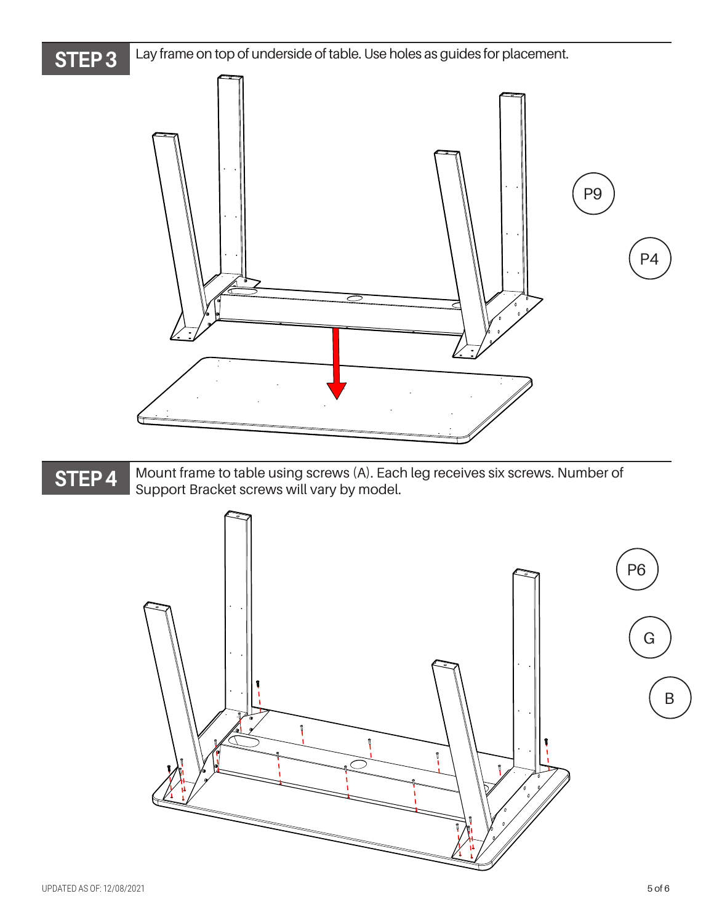